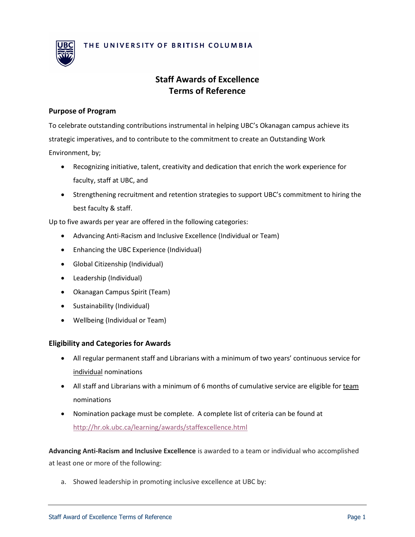

# **Staff Awards of Excellence Terms of Reference**

#### **Purpose of Program**

To celebrate outstanding contributions instrumental in helping UBC's Okanagan campus achieve its strategic imperatives, and to contribute to the commitment to create an Outstanding Work Environment, by;

- Recognizing initiative, talent, creativity and dedication that enrich the work experience for faculty, staff at UBC, and
- Strengthening recruitment and retention strategies to support UBC's commitment to hiring the best faculty & staff.

Up to five awards per year are offered in the following categories:

- Advancing Anti-Racism and Inclusive Excellence (Individual or Team)
- Enhancing the UBC Experience (Individual)
- Global Citizenship (Individual)
- Leadership (Individual)
- Okanagan Campus Spirit (Team)
- Sustainability (Individual)
- Wellbeing (Individual or Team)

#### **Eligibility and Categories for Awards**

- All regular permanent staff and Librarians with a minimum of two years' continuous service for individual nominations
- All staff and Librarians with a minimum of 6 months of cumulative service are eligible for team nominations
- Nomination package must be complete. A complete list of criteria can be found at <http://hr.ok.ubc.ca/learning/awards/staffexcellence.html>

**Advancing Anti-Racism and Inclusive Excellence** is awarded to a team or individual who accomplished at least one or more of the following:

a. Showed leadership in promoting inclusive excellence at UBC by: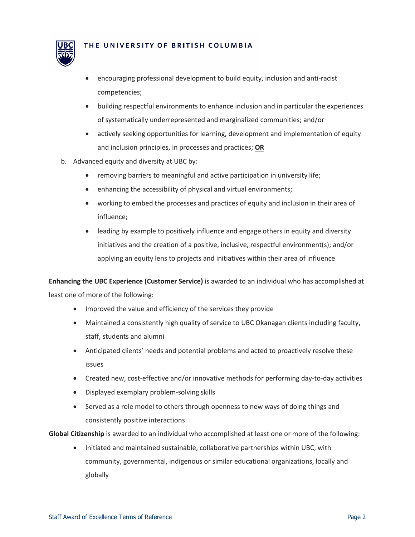

- encouraging professional development to build equity, inclusion and anti-racist competencies;
- building respectful environments to enhance inclusion and in particular the experiences of systematically underrepresented and marginalized communities; and/or
- actively seeking opportunities for learning, development and implementation of equity and inclusion principles, in processes and practices; **OR**
- b. Advanced equity and diversity at UBC by:
	- removing barriers to meaningful and active participation in university life;
	- enhancing the accessibility of physical and virtual environments;
	- working to embed the processes and practices of equity and inclusion in their area of influence;
	- leading by example to positively influence and engage others in equity and diversity initiatives and the creation of a positive, inclusive, respectful environment(s); and/or applying an equity lens to projects and initiatives within their area of influence

**Enhancing the UBC Experience (Customer Service)** is awarded to an individual who has accomplished at least one of more of the following:

- Improved the value and efficiency of the services they provide
- Maintained a consistently high quality of service to UBC Okanagan clients including faculty, staff, students and alumni
- Anticipated clients' needs and potential problems and acted to proactively resolve these issues
- Created new, cost-effective and/or innovative methods for performing day-to-day activities
- Displayed exemplary problem-solving skills
- Served as a role model to others through openness to new ways of doing things and consistently positive interactions

**Global Citizenship** is awarded to an individual who accomplished at least one or more of the following:

• Initiated and maintained sustainable, collaborative partnerships within UBC, with community, governmental, indigenous or similar educational organizations, locally and globally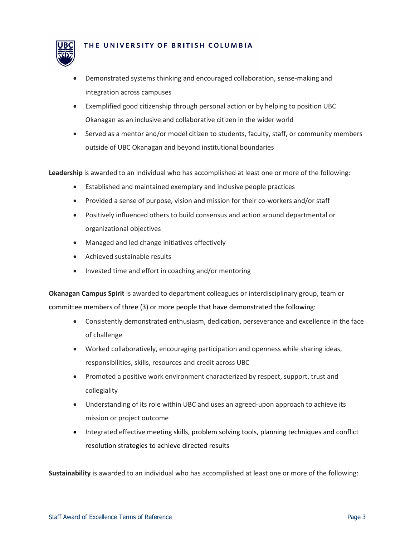

- Demonstrated systems thinking and encouraged collaboration, sense-making and integration across campuses
- Exemplified good citizenship through personal action or by helping to position UBC Okanagan as an inclusive and collaborative citizen in the wider world
- Served as a mentor and/or model citizen to students, faculty, staff, or community members outside of UBC Okanagan and beyond institutional boundaries

**Leadership** is awarded to an individual who has accomplished at least one or more of the following:

- Established and maintained exemplary and inclusive people practices
- Provided a sense of purpose, vision and mission for their co-workers and/or staff
- Positively influenced others to build consensus and action around departmental or organizational objectives
- Managed and led change initiatives effectively
- Achieved sustainable results
- Invested time and effort in coaching and/or mentoring

**Okanagan Campus Spirit** is awarded to department colleagues or interdisciplinary group, team or committee members of three (3) or more people that have demonstrated the following:

- Consistently demonstrated enthusiasm, dedication, perseverance and excellence in the face of challenge
- Worked collaboratively, encouraging participation and openness while sharing ideas, responsibilities, skills, resources and credit across UBC
- Promoted a positive work environment characterized by respect, support, trust and collegiality
- Understanding of its role within UBC and uses an agreed-upon approach to achieve its mission or project outcome
- Integrated effective meeting skills, problem solving tools, planning techniques and conflict resolution strategies to achieve directed results

**Sustainability** is awarded to an individual who has accomplished at least one or more of the following: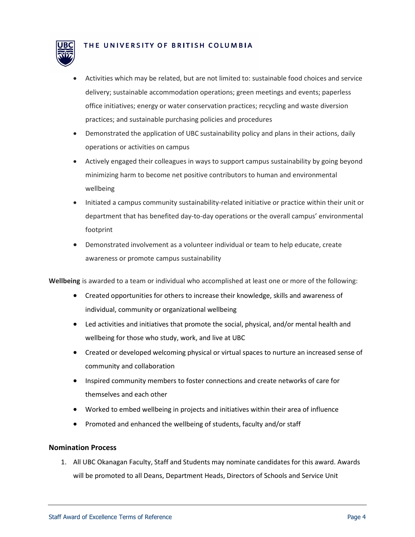

- Activities which may be related, but are not limited to: sustainable food choices and service delivery; sustainable accommodation operations; green meetings and events; paperless office initiatives; energy or water conservation practices; recycling and waste diversion practices; and sustainable purchasing policies and procedures
- Demonstrated the application of UBC sustainability policy and plans in their actions, daily operations or activities on campus
- Actively engaged their colleagues in ways to support campus sustainability by going beyond minimizing harm to become net positive contributors to human and environmental wellbeing
- Initiated a campus community sustainability-related initiative or practice within their unit or department that has benefited day-to-day operations or the overall campus' environmental footprint
- Demonstrated involvement as a volunteer individual or team to help educate, create awareness or promote campus sustainability

**Wellbeing** is awarded to a team or individual who accomplished at least one or more of the following:

- Created opportunities for others to increase their knowledge, skills and awareness of individual, community or organizational wellbeing
- Led activities and initiatives that promote the social, physical, and/or mental health and wellbeing for those who study, work, and live at UBC
- Created or developed welcoming physical or virtual spaces to nurture an increased sense of community and collaboration
- Inspired community members to foster connections and create networks of care for themselves and each other
- Worked to embed wellbeing in projects and initiatives within their area of influence
- Promoted and enhanced the wellbeing of students, faculty and/or staff

## **Nomination Process**

1. All UBC Okanagan Faculty, Staff and Students may nominate candidates for this award. Awards will be promoted to all Deans, Department Heads, Directors of Schools and Service Unit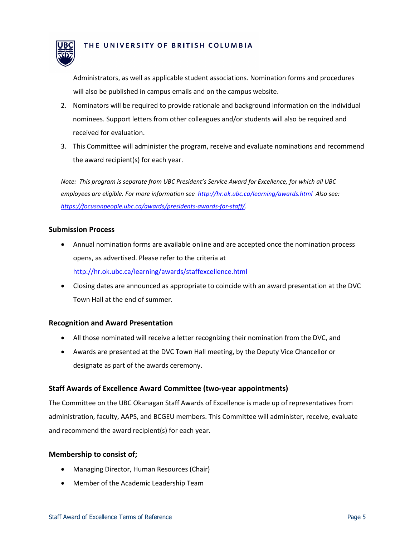

Administrators, as well as applicable student associations. Nomination forms and procedures will also be published in campus emails and on the campus website.

- 2. Nominators will be required to provide rationale and background information on the individual nominees. Support letters from other colleagues and/or students will also be required and received for evaluation.
- 3. This Committee will administer the program, receive and evaluate nominations and recommend the award recipient(s) for each year.

*Note: This program is separate from UBC President's Service Award for Excellence, for which all UBC employees are eligible. For more information see <http://hr.ok.ubc.ca/learning/awards.html>Also see: [https://focusonpeople.ubc.ca/awards/presidents-awards-for-staff/.](https://focusonpeople.ubc.ca/awards/presidents-awards-for-staff/)* 

## **Submission Process**

- Annual nomination forms are available online and are accepted once the nomination process opens, as advertised. Please refer to the criteria at <http://hr.ok.ubc.ca/learning/awards/staffexcellence.html>
- Closing dates are announced as appropriate to coincide with an award presentation at the DVC Town Hall at the end of summer.

## **Recognition and Award Presentation**

- All those nominated will receive a letter recognizing their nomination from the DVC, and
- Awards are presented at the DVC Town Hall meeting, by the Deputy Vice Chancellor or designate as part of the awards ceremony.

## **Staff Awards of Excellence Award Committee (two-year appointments)**

The Committee on the UBC Okanagan Staff Awards of Excellence is made up of representatives from administration, faculty, AAPS, and BCGEU members. This Committee will administer, receive, evaluate and recommend the award recipient(s) for each year.

## **Membership to consist of;**

- Managing Director, Human Resources (Chair)
- Member of the Academic Leadership Team